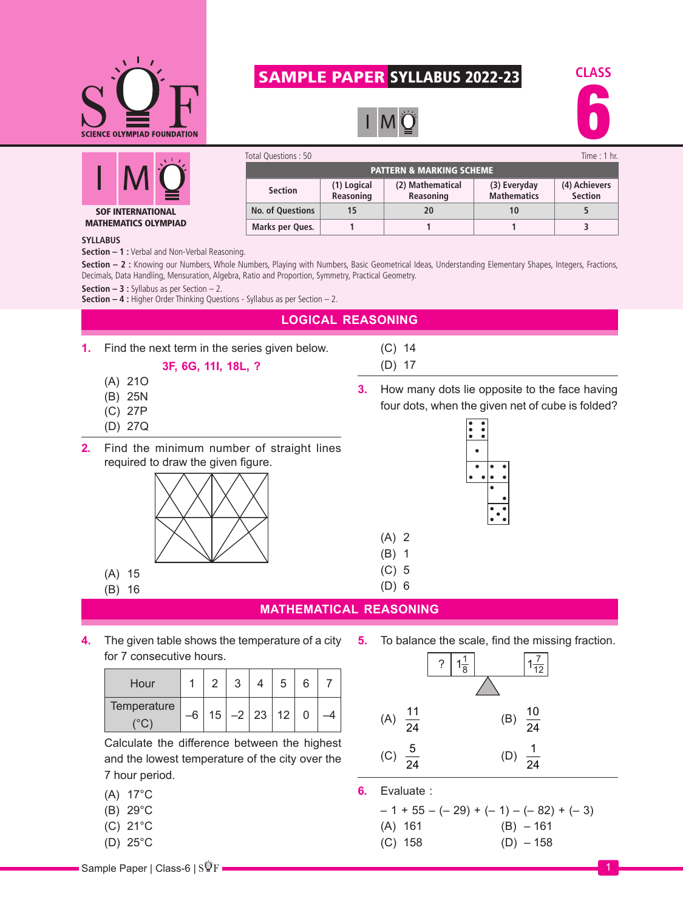

# SAMPLE PAPER SYLLABUS 2022-23





**(4) Achievers Section**

| M |  |
|---|--|
|---|--|

#### SOF INTERNATIONAL MATHEMATICS OLYMPIAD

#### **SYLLABUS**

**Section – 1 :** Verbal and Non-Verbal Reasoning.

Section - 2 : Knowing our Numbers, Whole Numbers, Playing with Numbers, Basic Geometrical Ideas, Understanding Elementary Shapes, Integers, Fractions, Decimals, Data Handling, Mensuration, Algebra, Ratio and Proportion, Symmetry, Practical Geometry.

**Reasoning**

**Section (1) Logical** 

**Section – 3 :** Syllabus as per Section – 2.

**Section – 4 :** Higher Order Thinking Questions - Syllabus as per Section – 2.

| <b>LOGICAL REASONING!</b> |  |
|---------------------------|--|
|                           |  |

**1.** Find the next term in the series given below.

### **3F, 6G, 11I, 18L, ?**

- (A) 21O
- (B) 25N
- (C) 27P
- (D) 27Q

(A) 15 (B) 16

**2.** Find the minimum number of straight lines required to draw the given figure.





(C) 14

(A) 2 (B) 1 (C) 5 (D) 6

PATTERN & MARKING SCHEME

Total Questions : 50 Time : 1 hr.

**(3) Everyday Mathematics**

**(2) Mathematical Reasoning**

**No. of Questions 15 20 10 5 Marks per Ques. 1 1 1 3**



## **MATHEMATICAL REASONING**

**4.** The given table shows the temperature of a city for 7 consecutive hours.

| Hour        |      |  |                 |  |  |
|-------------|------|--|-----------------|--|--|
| Temperature | $-6$ |  | $15$ -2 $23$ 12 |  |  |

Calculate the difference between the highest and the lowest temperature of the city over the 7 hour period.

- (A) 17°C
- (B) 29°C
- (C) 21°C
- (D) 25°C

**5.** To balance the scale, find the missing fraction.



**6.** Evaluate :

 $-1 + 55 - (-29) + (-1) - (-82) + (-3)$ (A) 161 (B) – 161

(C) 158 (D) – 158